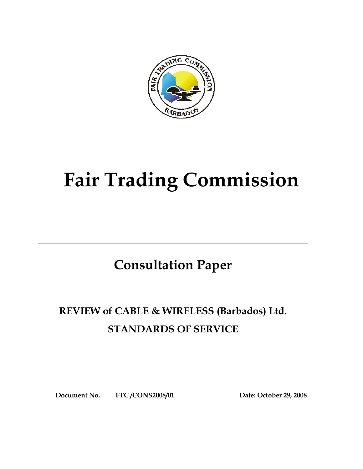

# **Fair Trading Commission**

## **Consultation Paper**

## **REVIEW of CABLE & WIRELESS (Barbados) Ltd. STANDARDS OF SERVICE**

**Document No. FTC /CONS2008/01 Date: October 29, 2008**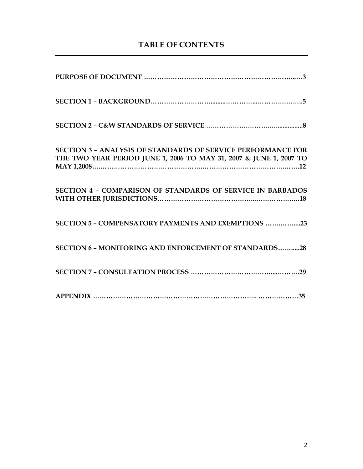## **TABLE OF CONTENTS**

| <b>SECTION 3 - ANALYSIS OF STANDARDS OF SERVICE PERFORMANCE FOR</b><br>THE TWO YEAR PERIOD JUNE 1, 2006 TO MAY 31, 2007 & JUNE 1, 2007 TO |
|-------------------------------------------------------------------------------------------------------------------------------------------|
| <b>SECTION 4 - COMPARISON OF STANDARDS OF SERVICE IN BARBADOS</b>                                                                         |
| SECTION 5 - COMPENSATORY PAYMENTS AND EXEMPTIONS 23                                                                                       |
| <b>SECTION 6 - MONITORING AND ENFORCEMENT OF STANDARDS28</b>                                                                              |
|                                                                                                                                           |
|                                                                                                                                           |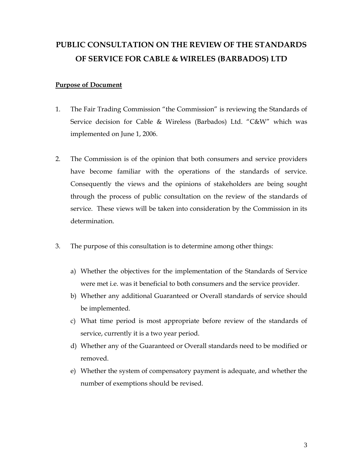## **PUBLIC CONSULTATION ON THE REVIEW OF THE STANDARDS OF SERVICE FOR CABLE & WIRELES (BARBADOS) LTD**

#### **Purpose of Document**

- 1. The Fair Trading Commission "the Commission" is reviewing the Standards of Service decision for Cable & Wireless (Barbados) Ltd. "C&W" which was implemented on June 1, 2006.
- 2. The Commission is of the opinion that both consumers and service providers have become familiar with the operations of the standards of service. Consequently the views and the opinions of stakeholders are being sought through the process of public consultation on the review of the standards of service. These views will be taken into consideration by the Commission in its determination.
- 3. The purpose of this consultation is to determine among other things:
	- a) Whether the objectives for the implementation of the Standards of Service were met i.e. was it beneficial to both consumers and the service provider.
	- b) Whether any additional Guaranteed or Overall standards of service should be implemented.
	- c) What time period is most appropriate before review of the standards of service, currently it is a two year period.
	- d) Whether any of the Guaranteed or Overall standards need to be modified or removed.
	- e) Whether the system of compensatory payment is adequate, and whether the number of exemptions should be revised.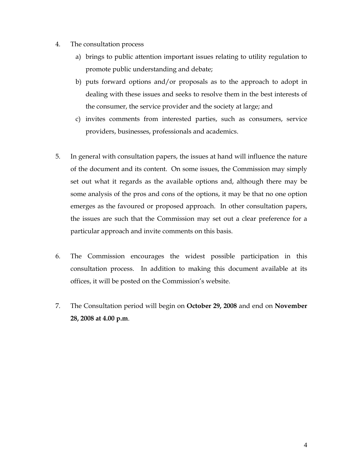- 4. The consultation process
	- a) brings to public attention important issues relating to utility regulation to promote public understanding and debate;
	- b) puts forward options and/or proposals as to the approach to adopt in dealing with these issues and seeks to resolve them in the best interests of the consumer, the service provider and the society at large; and
	- c) invites comments from interested parties, such as consumers, service providers, businesses, professionals and academics.
- 5. In general with consultation papers, the issues at hand will influence the nature of the document and its content. On some issues, the Commission may simply set out what it regards as the available options and, although there may be some analysis of the pros and cons of the options, it may be that no one option emerges as the favoured or proposed approach. In other consultation papers, the issues are such that the Commission may set out a clear preference for a particular approach and invite comments on this basis.
- 6. The Commission encourages the widest possible participation in this consultation process. In addition to making this document available at its offices, it will be posted on the Commission's website.
- 7. The Consultation period will begin on **October 29, 2008** and end on **November 28, 2008 at 4.00 p.m**.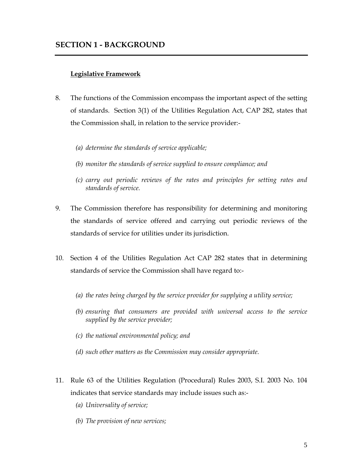#### **SECTION 1 - BACKGROUND**

#### **Legislative Framework**

- 8. The functions of the Commission encompass the important aspect of the setting of standards. Section 3(1) of the Utilities Regulation Act, CAP 282, states that the Commission shall, in relation to the service provider:-
	- *(a) determine the standards of service applicable;*
	- *(b) monitor the standards of service supplied to ensure compliance; and*
	- *(c) carry out periodic reviews of the rates and principles for setting rates and standards of service.*
- 9. The Commission therefore has responsibility for determining and monitoring the standards of service offered and carrying out periodic reviews of the standards of service for utilities under its jurisdiction.
- 10. Section 4 of the Utilities Regulation Act CAP 282 states that in determining standards of service the Commission shall have regard to:-
	- *(a) the rates being charged by the service provider for supplying a utility service;*
	- *(b) ensuring that consumers are provided with universal access to the service supplied by the service provider;*
	- *(c) the national environmental policy; and*
	- *(d) such other matters as the Commission may consider appropriate.*
- 11. Rule 63 of the Utilities Regulation (Procedural) Rules 2003, S.I. 2003 No. 104 indicates that service standards may include issues such as:-
	- *(a) Universality of service;*
	- *(b) The provision of new services;*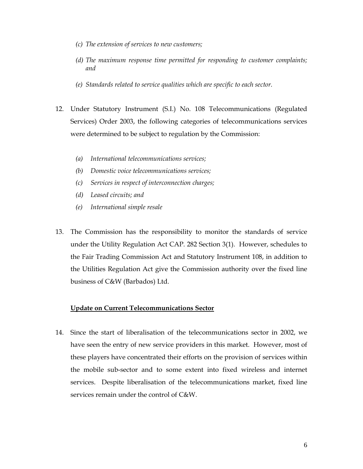- *(c) The extension of services to new customers;*
- *(d) The maximum response time permitted for responding to customer complaints; and*
- *(e) Standards related to service qualities which are specific to each sector.*
- 12. Under Statutory Instrument (S.I.) No. 108 Telecommunications (Regulated Services) Order 2003, the following categories of telecommunications services were determined to be subject to regulation by the Commission:
	- *(a) International telecommunications services;*
	- *(b) Domestic voice telecommunications services;*
	- *(c) Services in respect of interconnection charges;*
	- *(d) Leased circuits; and*
	- *(e) International simple resale*
- 13. The Commission has the responsibility to monitor the standards of service under the Utility Regulation Act CAP. 282 Section 3(1). However, schedules to the Fair Trading Commission Act and Statutory Instrument 108, in addition to the Utilities Regulation Act give the Commission authority over the fixed line business of C&W (Barbados) Ltd.

#### **Update on Current Telecommunications Sector**

14. Since the start of liberalisation of the telecommunications sector in 2002, we have seen the entry of new service providers in this market. However, most of these players have concentrated their efforts on the provision of services within the mobile sub-sector and to some extent into fixed wireless and internet services. Despite liberalisation of the telecommunications market, fixed line services remain under the control of C&W.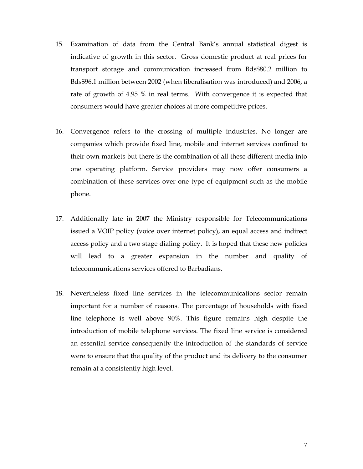- 15. Examination of data from the Central Bank's annual statistical digest is indicative of growth in this sector. Gross domestic product at real prices for transport storage and communication increased from Bds\$80.2 million to Bds\$96.1 million between 2002 (when liberalisation was introduced) and 2006, a rate of growth of 4.95 % in real terms. With convergence it is expected that consumers would have greater choices at more competitive prices.
- 16. Convergence refers to the crossing of multiple industries. No longer are companies which provide fixed line, mobile and internet services confined to their own markets but there is the combination of all these different media into one operating platform. Service providers may now offer consumers a combination of these services over one type of equipment such as the mobile phone.
- 17. Additionally late in 2007 the Ministry responsible for Telecommunications issued a VOIP policy (voice over internet policy), an equal access and indirect access policy and a two stage dialing policy. It is hoped that these new policies will lead to a greater expansion in the number and quality of telecommunications services offered to Barbadians.
- 18. Nevertheless fixed line services in the telecommunications sector remain important for a number of reasons. The percentage of households with fixed line telephone is well above 90%. This figure remains high despite the introduction of mobile telephone services. The fixed line service is considered an essential service consequently the introduction of the standards of service were to ensure that the quality of the product and its delivery to the consumer remain at a consistently high level.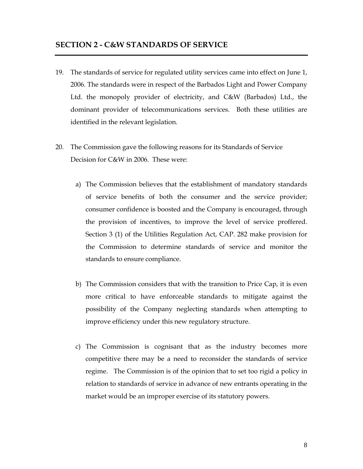- 19. The standards of service for regulated utility services came into effect on June 1, 2006. The standards were in respect of the Barbados Light and Power Company Ltd. the monopoly provider of electricity, and C&W (Barbados) Ltd., the dominant provider of telecommunications services. Both these utilities are identified in the relevant legislation.
- 20. The Commission gave the following reasons for its Standards of Service Decision for C&W in 2006. These were:
	- a) The Commission believes that the establishment of mandatory standards of service benefits of both the consumer and the service provider; consumer confidence is boosted and the Company is encouraged, through the provision of incentives, to improve the level of service proffered. Section 3 (1) of the Utilities Regulation Act, CAP. 282 make provision for the Commission to determine standards of service and monitor the standards to ensure compliance.
	- b) The Commission considers that with the transition to Price Cap, it is even more critical to have enforceable standards to mitigate against the possibility of the Company neglecting standards when attempting to improve efficiency under this new regulatory structure.
	- c) The Commission is cognisant that as the industry becomes more competitive there may be a need to reconsider the standards of service regime. The Commission is of the opinion that to set too rigid a policy in relation to standards of service in advance of new entrants operating in the market would be an improper exercise of its statutory powers.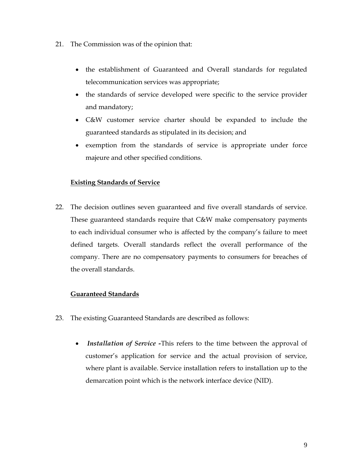- 21. The Commission was of the opinion that:
	- the establishment of Guaranteed and Overall standards for regulated telecommunication services was appropriate;
	- the standards of service developed were specific to the service provider and mandatory;
	- C&W customer service charter should be expanded to include the guaranteed standards as stipulated in its decision; and
	- exemption from the standards of service is appropriate under force majeure and other specified conditions.

#### **Existing Standards of Service**

22. The decision outlines seven guaranteed and five overall standards of service. These guaranteed standards require that C&W make compensatory payments to each individual consumer who is affected by the company's failure to meet defined targets. Overall standards reflect the overall performance of the company. There are no compensatory payments to consumers for breaches of the overall standards.

#### **Guaranteed Standards**

- 23. The existing Guaranteed Standards are described as follows:
	- • *Installation of Service -*This refers to the time between the approval of customer's application for service and the actual provision of service, where plant is available. Service installation refers to installation up to the demarcation point which is the network interface device (NID).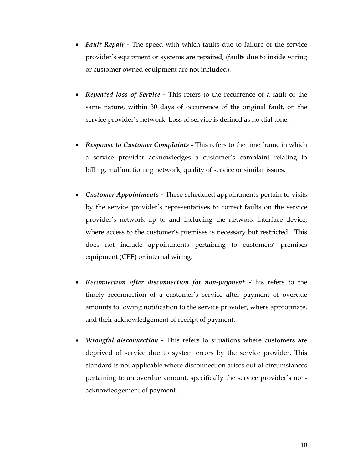- *Fault Repair* The speed with which faults due to failure of the service provider's equipment or systems are repaired, (faults due to inside wiring or customer owned equipment are not included).
- *Repeated loss of Service* This refers to the recurrence of a fault of the same nature, within 30 days of occurrence of the original fault, on the service provider's network. Loss of service is defined as no dial tone.
- *Response to Customer Complaints* This refers to the time frame in which a service provider acknowledges a customer's complaint relating to billing, malfunctioning network, quality of service or similar issues.
- *Customer Appointments* These scheduled appointments pertain to visits by the service provider's representatives to correct faults on the service provider's network up to and including the network interface device, where access to the customer's premises is necessary but restricted. This does not include appointments pertaining to customers' premises equipment (CPE) or internal wiring.
- *Reconnection after disconnection for non-payment -*This refers to the timely reconnection of a customer's service after payment of overdue amounts following notification to the service provider, where appropriate, and their acknowledgement of receipt of payment.
- *Wrongful disconnection* This refers to situations where customers are deprived of service due to system errors by the service provider. This standard is not applicable where disconnection arises out of circumstances pertaining to an overdue amount, specifically the service provider's nonacknowledgement of payment.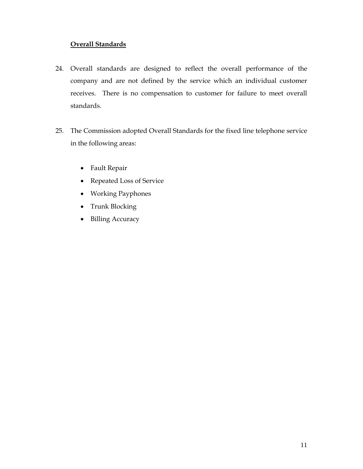#### **Overall Standards**

- 24. Overall standards are designed to reflect the overall performance of the company and are not defined by the service which an individual customer receives. There is no compensation to customer for failure to meet overall standards.
- 25. The Commission adopted Overall Standards for the fixed line telephone service in the following areas:
	- Fault Repair
	- Repeated Loss of Service
	- Working Payphones
	- Trunk Blocking
	- Billing Accuracy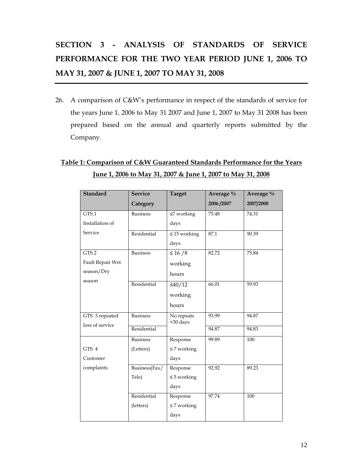## **SECTION 3 - ANALYSIS OF STANDARDS OF SERVICE PERFORMANCE FOR THE TWO YEAR PERIOD JUNE 1, 2006 TO MAY 31, 2007 & JUNE 1, 2007 TO MAY 31, 2008**

26. A comparison of C&W's performance in respect of the standards of service for the years June 1, 2006 to May 31 2007 and June 1, 2007 to May 31 2008 has been prepared based on the annual and quarterly reports submitted by the Company.

## **Table 1: Comparison of C&W Guaranteed Standards Performance for the Years June 1, 2006 to May 31, 2007 & June 1, 2007 to May 31, 2008**

| <b>Standard</b>  | <b>Service</b>  | <b>Target</b>          | Average $\%$ | Average % |
|------------------|-----------------|------------------------|--------------|-----------|
|                  | Category        |                        | 2006/2007    | 2007/2008 |
| GTS1             | <b>Business</b> | $\leq$ 7 working       | 75.48        | 74.31     |
| Installation of  |                 | days                   |              |           |
| Service          | Residential     | $\leq 15$ working      | 87.1         | 90.39     |
|                  |                 | days.                  |              |           |
| GTS <sub>2</sub> | <b>Business</b> | $\leq 16/8$            | 82.72        | 75.84     |
| Fault Repair Wet |                 | working                |              |           |
| season/Dry       |                 | hours                  |              |           |
| season           | Residential     | $\leq 40/12$           | 66.01        | 59.93     |
|                  |                 | working                |              |           |
|                  |                 | hours                  |              |           |
| GTS 3 repeated   | <b>Business</b> | No repeats<br><30 days | 93.99        | 94.87     |
| loss of service  | Residential     |                        | 94.87        | 94.83     |
|                  | <b>Business</b> | Response               | 99.89        | 100       |
| GTS 4            | (Letters)       | $\leq$ 7 working       |              |           |
| Customer         |                 | days                   |              |           |
| complaints       | Business(Fax/   | Response               | 92.92        | 89.23     |
|                  | Tele)           | $\leq$ 5 working       |              |           |
|                  |                 | days                   |              |           |
|                  | Residential     | Response               | 97.74        | 100       |
|                  | (letters)       | $\leq$ 7 working       |              |           |
|                  |                 | days                   |              |           |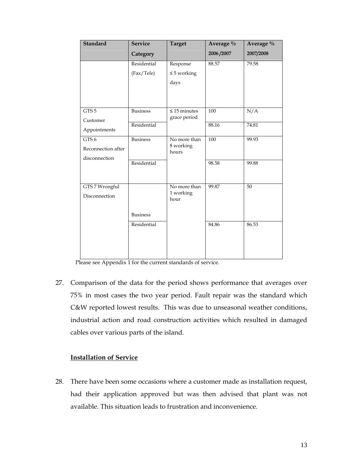| <b>Standard</b>    | <b>Service</b>  | <b>Target</b>                     | Average $\%$ | Average % |
|--------------------|-----------------|-----------------------------------|--------------|-----------|
|                    | Category        |                                   | 2006/2007    | 2007/2008 |
|                    | Residential     | Response                          | 88.57        | 79.58     |
|                    | (Fax/Tele)      | $\leq$ 5 working                  |              |           |
|                    |                 | days                              |              |           |
|                    |                 |                                   |              |           |
|                    |                 |                                   |              |           |
| GTS <sub>5</sub>   | <b>Business</b> | $\leq 15$ minutes<br>grace period | 100          | N/A       |
| Customer           | Residential     |                                   | 88.16        | 74.81     |
| Appointments       |                 |                                   |              |           |
| GTS <sub>6</sub>   | <b>Business</b> | No more than<br>8 working         | <b>100</b>   | 99.93     |
| Reconnection after |                 | hours                             |              |           |
| disconnection      | Residential     |                                   | 98.58        | 99.88     |
|                    |                 |                                   |              |           |
|                    |                 |                                   |              |           |
| GTS 7 Wrongful     |                 | No more than<br>1 working         | 99.87        | 50        |
| Disconnection      |                 | hour                              |              |           |
|                    |                 |                                   |              |           |
|                    | <b>Business</b> |                                   |              |           |
|                    | Residential     |                                   | 84.86        | 86.53     |
|                    |                 |                                   |              |           |
|                    |                 |                                   |              |           |
|                    |                 |                                   |              |           |

Please see Appendix 1 for the current standards of service.

27. Comparison of the data for the period shows performance that averages over 75% in most cases the two year period. Fault repair was the standard which C&W reported lowest results. This was due to unseasonal weather conditions, industrial action and road construction activities which resulted in damaged cables over various parts of the island.

#### **Installation of Service**

28. There have been some occasions where a customer made as installation request, had their application approved but was then advised that plant was not available. This situation leads to frustration and inconvenience.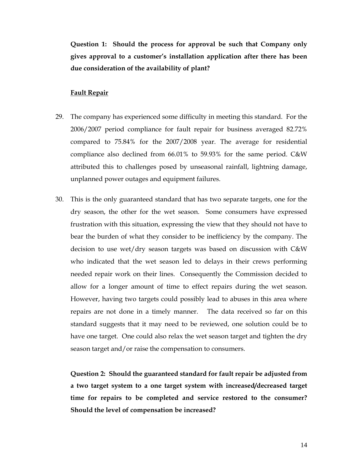**Question 1: Should the process for approval be such that Company only gives approval to a customer's installation application after there has been due consideration of the availability of plant?** 

#### **Fault Repair**

- 29. The company has experienced some difficulty in meeting this standard. For the 2006/2007 period compliance for fault repair for business averaged 82.72% compared to 75.84% for the 2007/2008 year. The average for residential compliance also declined from 66.01% to 59.93% for the same period. C&W attributed this to challenges posed by unseasonal rainfall, lightning damage, unplanned power outages and equipment failures.
- 30. This is the only guaranteed standard that has two separate targets, one for the dry season, the other for the wet season. Some consumers have expressed frustration with this situation, expressing the view that they should not have to bear the burden of what they consider to be inefficiency by the company. The decision to use wet/dry season targets was based on discussion with C&W who indicated that the wet season led to delays in their crews performing needed repair work on their lines. Consequently the Commission decided to allow for a longer amount of time to effect repairs during the wet season. However, having two targets could possibly lead to abuses in this area where repairs are not done in a timely manner. The data received so far on this standard suggests that it may need to be reviewed, one solution could be to have one target. One could also relax the wet season target and tighten the dry season target and/or raise the compensation to consumers.

**Question 2: Should the guaranteed standard for fault repair be adjusted from a two target system to a one target system with increased/decreased target time for repairs to be completed and service restored to the consumer? Should the level of compensation be increased?**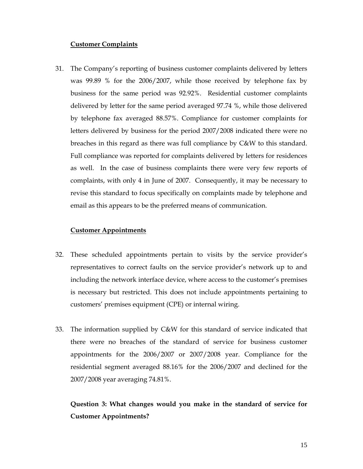#### **Customer Complaints**

31. The Company's reporting of business customer complaints delivered by letters was 99.89 % for the 2006/2007, while those received by telephone fax by business for the same period was 92.92%. Residential customer complaints delivered by letter for the same period averaged 97.74 %, while those delivered by telephone fax averaged 88.57%. Compliance for customer complaints for letters delivered by business for the period 2007/2008 indicated there were no breaches in this regard as there was full compliance by C&W to this standard. Full compliance was reported for complaints delivered by letters for residences as well. In the case of business complaints there were very few reports of complaints, with only 4 in June of 2007. Consequently, it may be necessary to revise this standard to focus specifically on complaints made by telephone and email as this appears to be the preferred means of communication.

#### **Customer Appointments**

- 32. These scheduled appointments pertain to visits by the service provider's representatives to correct faults on the service provider's network up to and including the network interface device, where access to the customer's premises is necessary but restricted. This does not include appointments pertaining to customers' premises equipment (CPE) or internal wiring.
- 33. The information supplied by C&W for this standard of service indicated that there were no breaches of the standard of service for business customer appointments for the 2006/2007 or 2007/2008 year. Compliance for the residential segment averaged 88.16% for the 2006/2007 and declined for the 2007/2008 year averaging 74.81%.

## **Question 3: What changes would you make in the standard of service for Customer Appointments?**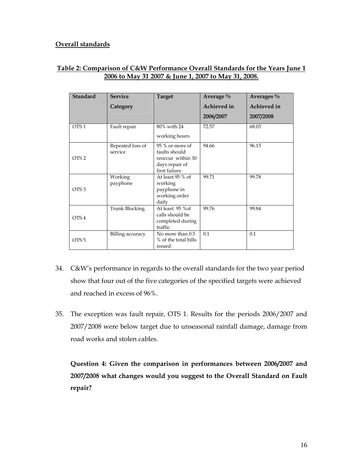#### **Overall standards**

#### **Table 2: Comparison of C&W Performance Overall Standards for the Years June 1 2006 to May 31 2007 & June 1, 2007 to May 31, 2008.**

| <b>Standard</b>  | <b>Service</b>              | <b>Target</b>                            | Average %   | Averages $\%$      |
|------------------|-----------------------------|------------------------------------------|-------------|--------------------|
|                  | Category                    |                                          | Achieved in | <b>Achieved</b> in |
|                  |                             |                                          | 2006/2007   | 2007/2008          |
| OTS <sub>1</sub> | Fault repair                | 80% with 24                              | 72.57       | 68.03              |
|                  |                             | working hours                            |             |                    |
|                  | Repeated loss of<br>service | 95 % or more of<br>faults should         | 94.66       | 96.15              |
| OTS <sub>2</sub> |                             | reoccur within 30                        |             |                    |
|                  |                             | days repair of                           |             |                    |
|                  |                             | first failure                            |             |                    |
|                  | Working<br>payphone         | At least 95 % of<br>working              | 99.71       | 99.78              |
| OTS <sub>3</sub> |                             | payphone in                              |             |                    |
|                  |                             | working order                            |             |                    |
|                  |                             | daily                                    |             |                    |
|                  | Trunk Blocking              | At least 95 % of                         | 99.76       | 99.84              |
| OTS 4            |                             | calls should be                          |             |                    |
|                  |                             | completed during<br>traffic              |             |                    |
|                  |                             |                                          |             |                    |
| OTS <sub>5</sub> | Billing accuracy            | No more than 0.5<br>% of the total bills | 0.1         | 0.1                |
|                  |                             | issued                                   |             |                    |

- 34. C&W's performance in regards to the overall standards for the two year period show that four out of the five categories of the specified targets were achieved and reached in excess of 96%.
- 35. The exception was fault repair, OTS 1. Results for the periods 2006/2007 and 2007/2008 were below target due to unseasonal rainfall damage, damage from road works and stolen cables.

**Question 4: Given the comparison in performances between 2006/2007 and 2007/2008 what changes would you suggest to the Overall Standard on Fault repair?**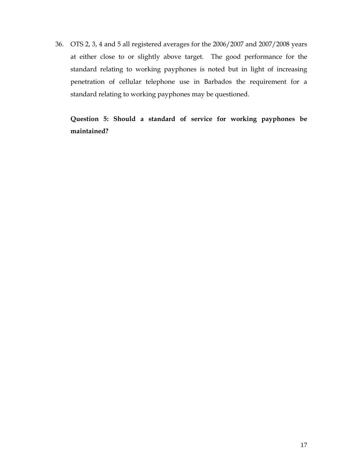36. OTS 2, 3, 4 and 5 all registered averages for the 2006/2007 and 2007/2008 years at either close to or slightly above target. The good performance for the standard relating to working payphones is noted but in light of increasing penetration of cellular telephone use in Barbados the requirement for a standard relating to working payphones may be questioned.

**Question 5: Should a standard of service for working payphones be maintained?**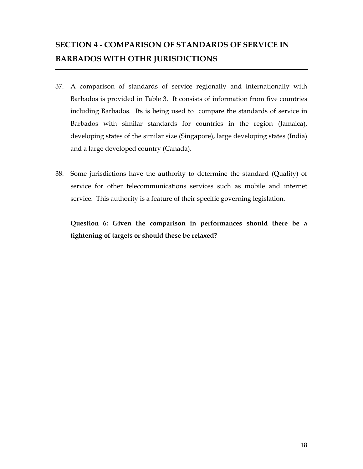## **SECTION 4 - COMPARISON OF STANDARDS OF SERVICE IN BARBADOS WITH OTHR JURISDICTIONS**

- 37. A comparison of standards of service regionally and internationally with Barbados is provided in Table 3. It consists of information from five countries including Barbados. Its is being used to compare the standards of service in Barbados with similar standards for countries in the region (Jamaica), developing states of the similar size (Singapore), large developing states (India) and a large developed country (Canada).
- 38. Some jurisdictions have the authority to determine the standard (Quality) of service for other telecommunications services such as mobile and internet service. This authority is a feature of their specific governing legislation.

**Question 6: Given the comparison in performances should there be a tightening of targets or should these be relaxed?**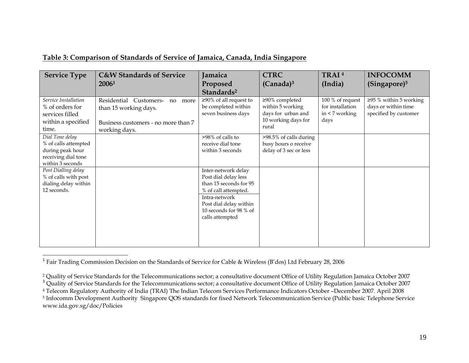| <b>Service Type</b>                                                                                    | <b>C&amp;W Standards of Service</b>                                                                                      | Jamaica                                                                                                                                                                               | <b>CTRC</b>                                                                              | TRAI <sup>4</sup>                                                   | <b>INFOCOMM</b>                                                              |
|--------------------------------------------------------------------------------------------------------|--------------------------------------------------------------------------------------------------------------------------|---------------------------------------------------------------------------------------------------------------------------------------------------------------------------------------|------------------------------------------------------------------------------------------|---------------------------------------------------------------------|------------------------------------------------------------------------------|
|                                                                                                        | 20061                                                                                                                    | Proposed                                                                                                                                                                              | $(Canada)^3$                                                                             | (India)                                                             | (Singapore) <sup>5</sup>                                                     |
|                                                                                                        |                                                                                                                          | Standards <sup>2</sup>                                                                                                                                                                |                                                                                          |                                                                     |                                                                              |
| Service Installation<br>% of orders for<br>services filled<br>within a specified<br>time.              | Residential<br>Customers-<br>no<br>more<br>than 15 working days.<br>Business customers - no more than 7<br>working days. | $\geq$ 90% of all request to<br>be completed within<br>seven business days                                                                                                            | ≥90% completed<br>within 5 working<br>days for urban and<br>10 working days for<br>rural | 100 % of request<br>for installation<br>in $\leq$ 7 working<br>days | $\geq$ 95 % within 5 working<br>days or within time<br>specified by customer |
| Dial Tone delay<br>% of calls attempted<br>during peak hour<br>receiving dial tone<br>within 3 seconds |                                                                                                                          | >98% of calls to<br>receive dial tone<br>within 3 seconds                                                                                                                             | >98.5% of calls during<br>busy hours o receive<br>delay of 3 sec or less                 |                                                                     |                                                                              |
| Post Dialling delay<br>% of calls with post<br>dialing delay within<br>12 seconds.                     |                                                                                                                          | Inter-network delay<br>Post dial delay less<br>than 15 seconds for 95<br>% of call attempted.<br>Intra-network<br>Post dial delay within<br>10 seconds for 98 % of<br>calls attempted |                                                                                          |                                                                     |                                                                              |

#### **Table 3: Comparison of Standards of Service of Jamaica, Canada, India Singapore**

<sup>&</sup>lt;sup>1</sup> Fair Trading Commission Decision on the Standards of Service for Cable & Wireless (B'dos) Ltd February 28, 2006

<sup>2</sup> Quality of Service Standards for the Telecommunications sector; a consultative document Office of Utility Regulation Jamaica October 2007

 $^3$  Quality of Service Standards for the Telecommunications sector; a consultative document Office of Utility Regulation Jamaica October 2007

<sup>&</sup>lt;sup>4</sup> Telecom Regulatory Authority of India (TRAI) The Indian Telecom Services Performance Indicators October -December 2007. April 2008<br><sup>5</sup> Infocomm Development Authority Singapore QOS standards for fixed Network Telecommun

www.ida.gov.sg/doc/Policies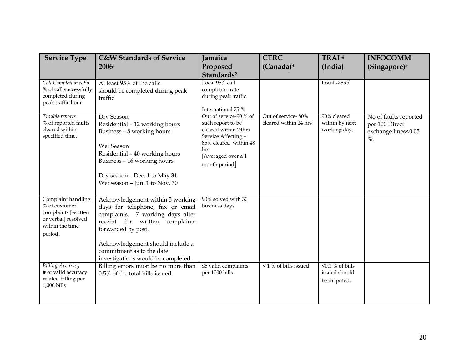| <b>Service Type</b>                                                                                             | <b>C&amp;W Standards of Service</b><br>20061                                                                                                                                                                                                                              | Jamaica<br>Proposed                                                                                                                                               | <b>CTRC</b><br>$(Canada)^3$                 | TRAI <sup>4</sup><br>(India)                        | <b>INFOCOMM</b><br>(Singapore) <sup>5</sup>                              |
|-----------------------------------------------------------------------------------------------------------------|---------------------------------------------------------------------------------------------------------------------------------------------------------------------------------------------------------------------------------------------------------------------------|-------------------------------------------------------------------------------------------------------------------------------------------------------------------|---------------------------------------------|-----------------------------------------------------|--------------------------------------------------------------------------|
|                                                                                                                 |                                                                                                                                                                                                                                                                           | Standards <sup>2</sup>                                                                                                                                            |                                             |                                                     |                                                                          |
| Call Completion ratio<br>% of call successfully<br>completed during<br>peak traffic hour                        | At least 95% of the calls<br>should be completed during peak<br>traffic                                                                                                                                                                                                   | Local 95% call<br>completion rate<br>during peak traffic<br>International 75 %                                                                                    |                                             | Local $-$ >55%                                      |                                                                          |
| Trouble reports<br>% of reported faults<br>cleared within<br>specified time.                                    | Dry Season<br>Residential - 12 working hours<br>Business - 8 working hours<br>Wet Season<br>Residential - 40 working hours<br>Business - 16 working hours<br>Dry season - Dec. 1 to May 31<br>Wet season - Jun. 1 to Nov. 30                                              | Out of service-90 % of<br>such report to be<br>cleared within 24hrs<br>Service Affecting -<br>85% cleared within 48<br>hrs<br>[Averaged over a 1<br>month period] | Out of service-80%<br>cleared within 24 hrs | 90% cleared<br>within by next<br>working day.       | No of faults reported<br>per 100 Direct<br>exchange lines<0.05<br>$\%$ . |
| Complaint handling<br>% of customer<br>complaints [written<br>or verbal] resolved<br>within the time<br>period. | Acknowledgement within 5 working<br>days for telephone, fax or email<br>complaints. 7 working days after<br>receipt for written<br>complaints<br>forwarded by post.<br>Acknowledgement should include a<br>commitment as to the date<br>investigations would be completed | 90% solved with 30<br>business days                                                                                                                               |                                             |                                                     |                                                                          |
| <b>Billing Accuracy</b><br># of valid accuracy<br>related billing per<br>1,000 bills                            | Billing errors must be no more than<br>0.5% of the total bills issued.                                                                                                                                                                                                    | $\leq$ 5 valid complaints<br>per 1000 bills.                                                                                                                      | $\sqrt{1\% \text{ of bills issued}}$ .      | $< 0.1 %$ of bills<br>issued should<br>be disputed. |                                                                          |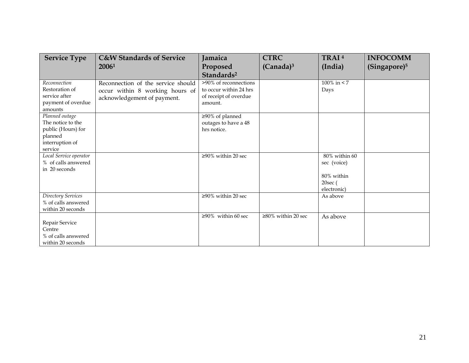| <b>Service Type</b>                                                                                | <b>C&amp;W Standards of Service</b>                                                                  | Jamaica                                                                             | <b>CTRC</b>               | TRAI <sup>4</sup>                                                   | <b>INFOCOMM</b>          |
|----------------------------------------------------------------------------------------------------|------------------------------------------------------------------------------------------------------|-------------------------------------------------------------------------------------|---------------------------|---------------------------------------------------------------------|--------------------------|
|                                                                                                    | 20061                                                                                                | Proposed                                                                            | $(Canada)^3$              | (India)                                                             | (Singapore) <sup>5</sup> |
|                                                                                                    |                                                                                                      | Standards <sup>2</sup>                                                              |                           |                                                                     |                          |
| Reconnection<br>Restoration of<br>service after<br>payment of overdue<br>amounts                   | Reconnection of the service should<br>occur within 8 working hours of<br>acknowledgement of payment. | >90% of reconnections<br>to occur within 24 hrs<br>of receipt of overdue<br>amount. |                           | $100\%$ in $\leq 7$<br>Days                                         |                          |
| Planned outage<br>The notice to the<br>public (Hours) for<br>planned<br>interruption of<br>service |                                                                                                      | $\geq 90\%$ of planned<br>outages to have a 48<br>hrs notice.                       |                           |                                                                     |                          |
| Local Service operator<br>% of calls answered<br>in 20 seconds                                     |                                                                                                      | $\geq 90\%$ within 20 sec                                                           |                           | 80% within 60<br>sec (voice)<br>80% within<br>20sec(<br>electronic) |                          |
| Directory Services<br>% of calls answered<br>within 20 seconds                                     |                                                                                                      | $\geq 90\%$ within 20 sec                                                           |                           | As above                                                            |                          |
| Repair Service<br>Centre<br>% of calls answered<br>within 20 seconds                               |                                                                                                      | $\geq 90\%$ within 60 sec                                                           | $\geq 80\%$ within 20 sec | As above                                                            |                          |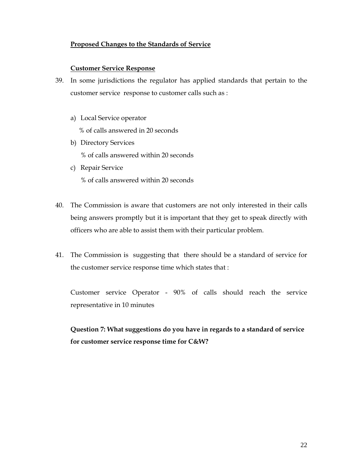#### **Proposed Changes to the Standards of Service**

#### **Customer Service Response**

- 39. In some jurisdictions the regulator has applied standards that pertain to the customer service response to customer calls such as :
	- a) Local Service operator % of calls answered in 20 seconds
	- b) Directory Services % of calls answered within 20 seconds
	- c) Repair Service % of calls answered within 20 seconds
- 40. The Commission is aware that customers are not only interested in their calls being answers promptly but it is important that they get to speak directly with officers who are able to assist them with their particular problem.
- 41. The Commission is suggesting that there should be a standard of service for the customer service response time which states that :

Customer service Operator - 90% of calls should reach the service representative in 10 minutes

**Question 7: What suggestions do you have in regards to a standard of service for customer service response time for C&W?**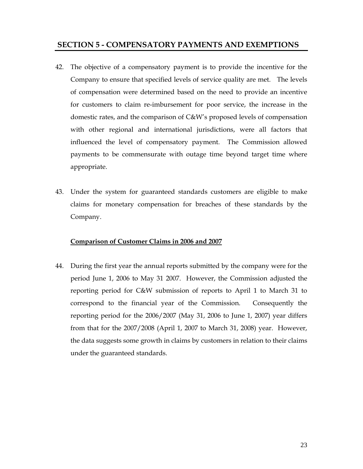#### **SECTION 5 - COMPENSATORY PAYMENTS AND EXEMPTIONS**

- 42. The objective of a compensatory payment is to provide the incentive for the Company to ensure that specified levels of service quality are met. The levels of compensation were determined based on the need to provide an incentive for customers to claim re-imbursement for poor service, the increase in the domestic rates, and the comparison of C&W's proposed levels of compensation with other regional and international jurisdictions, were all factors that influenced the level of compensatory payment. The Commission allowed payments to be commensurate with outage time beyond target time where appropriate.
- 43. Under the system for guaranteed standards customers are eligible to make claims for monetary compensation for breaches of these standards by the Company.

#### **Comparison of Customer Claims in 2006 and 2007**

44. During the first year the annual reports submitted by the company were for the period June 1, 2006 to May 31 2007. However, the Commission adjusted the reporting period for C&W submission of reports to April 1 to March 31 to correspond to the financial year of the Commission. Consequently the reporting period for the 2006/2007 (May 31, 2006 to June 1, 2007) year differs from that for the 2007/2008 (April 1, 2007 to March 31, 2008) year. However, the data suggests some growth in claims by customers in relation to their claims under the guaranteed standards.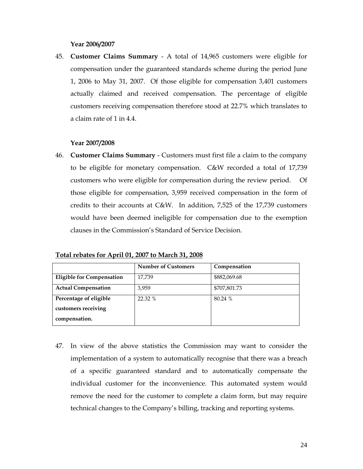#### **Year 2006/2007**

45. **Customer Claims Summary** - A total of 14,965 customers were eligible for compensation under the guaranteed standards scheme during the period June 1, 2006 to May 31, 2007. Of those eligible for compensation 3,401 customers actually claimed and received compensation. The percentage of eligible customers receiving compensation therefore stood at 22.7% which translates to a claim rate of 1 in 4.4.

#### **Year 2007/2008**

46. **Customer Claims Summary** - Customers must first file a claim to the company to be eligible for monetary compensation. C&W recorded a total of 17,739 customers who were eligible for compensation during the review period. Of those eligible for compensation, 3,959 received compensation in the form of credits to their accounts at C&W. In addition, 7,525 of the 17,739 customers would have been deemed ineligible for compensation due to the exemption clauses in the Commission's Standard of Service Decision.

**Total rebates for April 01, 2007 to March 31, 2008**

|                                  | <b>Number of Customers</b> | Compensation |
|----------------------------------|----------------------------|--------------|
| <b>Eligible for Compensation</b> | 17,739                     | \$882,069.68 |
| <b>Actual Compensation</b>       | 3,959                      | \$707,801.73 |
| Percentage of eligible           | 22.32 %                    | 80.24 %      |
| customers receiving              |                            |              |
| compensation.                    |                            |              |

47. In view of the above statistics the Commission may want to consider the implementation of a system to automatically recognise that there was a breach of a specific guaranteed standard and to automatically compensate the individual customer for the inconvenience. This automated system would remove the need for the customer to complete a claim form, but may require technical changes to the Company's billing, tracking and reporting systems.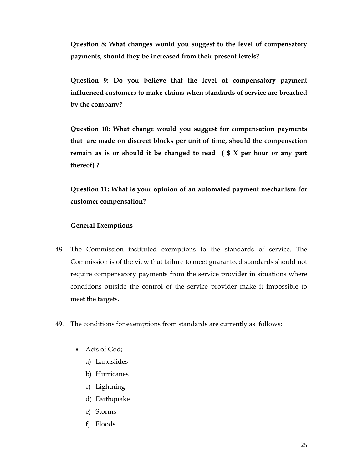**Question 8: What changes would you suggest to the level of compensatory payments, should they be increased from their present levels?** 

**Question 9: Do you believe that the level of compensatory payment influenced customers to make claims when standards of service are breached by the company?** 

**Question 10: What change would you suggest for compensation payments that are made on discreet blocks per unit of time, should the compensation remain as is or should it be changed to read ( \$ X per hour or any part thereof) ?** 

**Question 11: What is your opinion of an automated payment mechanism for customer compensation?** 

#### **General Exemptions**

- 48. The Commission instituted exemptions to the standards of service. The Commission is of the view that failure to meet guaranteed standards should not require compensatory payments from the service provider in situations where conditions outside the control of the service provider make it impossible to meet the targets.
- 49. The conditions for exemptions from standards are currently as follows:
	- Acts of God;
		- a) Landslides
		- b) Hurricanes
		- c) Lightning
		- d) Earthquake
		- e) Storms
		- f) Floods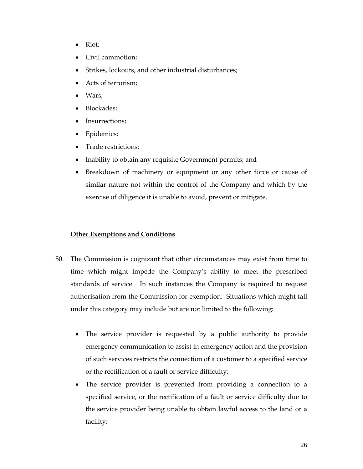- Riot;
- Civil commotion;
- Strikes, lockouts, and other industrial disturbances;
- Acts of terrorism;
- Wars:
- Blockades;
- Insurrections;
- Epidemics;
- Trade restrictions;
- Inability to obtain any requisite Government permits; and
- Breakdown of machinery or equipment or any other force or cause of similar nature not within the control of the Company and which by the exercise of diligence it is unable to avoid, prevent or mitigate.

#### **Other Exemptions and Conditions**

- 50. The Commission is cognizant that other circumstances may exist from time to time which might impede the Company's ability to meet the prescribed standards of service. In such instances the Company is required to request authorisation from the Commission for exemption. Situations which might fall under this category may include but are not limited to the following:
	- The service provider is requested by a public authority to provide emergency communication to assist in emergency action and the provision of such services restricts the connection of a customer to a specified service or the rectification of a fault or service difficulty;
	- The service provider is prevented from providing a connection to a specified service, or the rectification of a fault or service difficulty due to the service provider being unable to obtain lawful access to the land or a facility;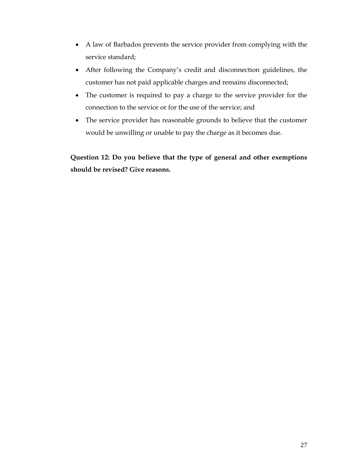- A law of Barbados prevents the service provider from complying with the service standard;
- After following the Company's credit and disconnection guidelines, the customer has not paid applicable charges and remains disconnected;
- The customer is required to pay a charge to the service provider for the connection to the service or for the use of the service; and
- The service provider has reasonable grounds to believe that the customer would be unwilling or unable to pay the charge as it becomes due.

**Question 12: Do you believe that the type of general and other exemptions should be revised? Give reasons.**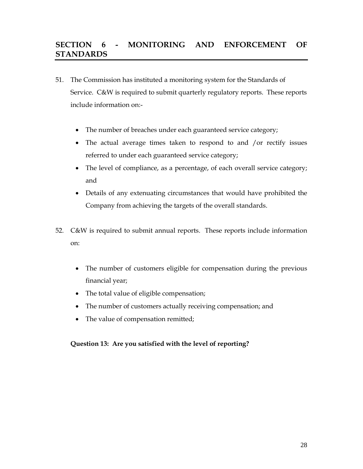### **SECTION 6 - MONITORING AND ENFORCEMENT OF STANDARDS**

- 51. The Commission has instituted a monitoring system for the Standards of Service. C&W is required to submit quarterly regulatory reports. These reports include information on:-
	- The number of breaches under each guaranteed service category;
	- The actual average times taken to respond to and /or rectify issues referred to under each guaranteed service category;
	- The level of compliance, as a percentage, of each overall service category; and
	- Details of any extenuating circumstances that would have prohibited the Company from achieving the targets of the overall standards.
- 52. C&W is required to submit annual reports. These reports include information on:
	- The number of customers eligible for compensation during the previous financial year;
	- The total value of eligible compensation;
	- The number of customers actually receiving compensation; and
	- The value of compensation remitted;

#### **Question 13: Are you satisfied with the level of reporting?**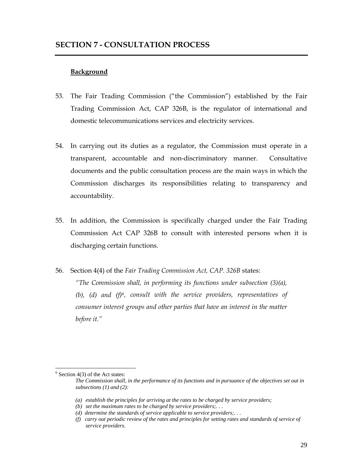#### **Background**

- 53. The Fair Trading Commission ("the Commission") established by the Fair Trading Commission Act, CAP 326B, is the regulator of international and domestic telecommunications services and electricity services.
- 54. In carrying out its duties as a regulator, the Commission must operate in a transparent, accountable and non-discriminatory manner. Consultative documents and the public consultation process are the main ways in which the Commission discharges its responsibilities relating to transparency and accountability.
- 55. In addition, the Commission is specifically charged under the Fair Trading Commission Act CAP 326B to consult with interested persons when it is discharging certain functions.
- 56. Section 4(4) of the *Fair Trading Commission Act, CAP. 326B* states:

*"The Commission shall, in performing its functions under subsection (3)(a), (b), (d) and (f)6, consult with the service providers, representatives of consumer interest groups and other parties that have an interest in the matter before it."* 

 $\overline{a}$ 

 $6$  Section 4(3) of the Act states:

*The Commission shall, in the performance of its functions and in pursuance of the objectives set out in subsections (1) and (2):* 

*<sup>(</sup>a) establish the principles for arriving at the rates to be charged by service providers;* 

*<sup>(</sup>b) set the maximum rates to be charged by service providers;. . .* 

*<sup>(</sup>d) determine the standards of service applicable to service providers;. . .* 

*<sup>(</sup>f) carry out periodic review of the rates and principles for setting rates and standards of service of service providers.*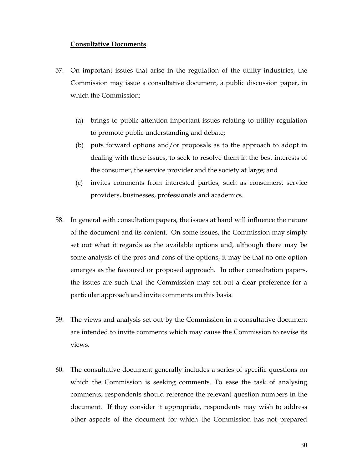#### **Consultative Documents**

- 57. On important issues that arise in the regulation of the utility industries, the Commission may issue a consultative document, a public discussion paper, in which the Commission:
	- (a) brings to public attention important issues relating to utility regulation to promote public understanding and debate;
	- (b) puts forward options and/or proposals as to the approach to adopt in dealing with these issues, to seek to resolve them in the best interests of the consumer, the service provider and the society at large; and
	- (c) invites comments from interested parties, such as consumers, service providers, businesses, professionals and academics.
- 58. In general with consultation papers, the issues at hand will influence the nature of the document and its content. On some issues, the Commission may simply set out what it regards as the available options and, although there may be some analysis of the pros and cons of the options, it may be that no one option emerges as the favoured or proposed approach. In other consultation papers, the issues are such that the Commission may set out a clear preference for a particular approach and invite comments on this basis.
- 59. The views and analysis set out by the Commission in a consultative document are intended to invite comments which may cause the Commission to revise its views.
- 60. The consultative document generally includes a series of specific questions on which the Commission is seeking comments. To ease the task of analysing comments, respondents should reference the relevant question numbers in the document. If they consider it appropriate, respondents may wish to address other aspects of the document for which the Commission has not prepared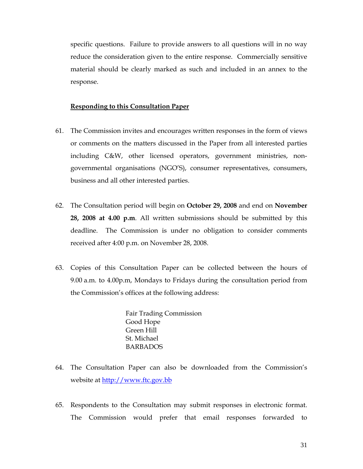specific questions. Failure to provide answers to all questions will in no way reduce the consideration given to the entire response. Commercially sensitive material should be clearly marked as such and included in an annex to the response.

#### **Responding to this Consultation Paper**

- 61. The Commission invites and encourages written responses in the form of views or comments on the matters discussed in the Paper from all interested parties including C&W, other licensed operators, government ministries, nongovernmental organisations (NGO'S), consumer representatives, consumers, business and all other interested parties.
- 62. The Consultation period will begin on **October 29, 2008** and end on **November 28, 2008 at 4.00 p.m**. All written submissions should be submitted by this deadline. The Commission is under no obligation to consider comments received after 4:00 p.m. on November 28, 2008.
- 63. Copies of this Consultation Paper can be collected between the hours of 9.00 a.m. to 4.00p.m, Mondays to Fridays during the consultation period from the Commission's offices at the following address:

Fair Trading Commission Good Hope Green Hill St. Michael BARBADOS

- 64. The Consultation Paper can also be downloaded from the Commission's website at <u>http://www.ftc.gov.bb</u>
- 65. Respondents to the Consultation may submit responses in electronic format. The Commission would prefer that email responses forwarded to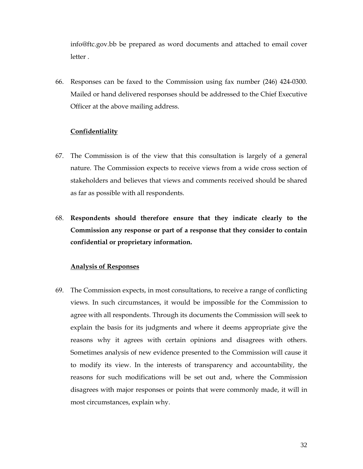info@ftc.gov.bb be prepared as word documents and attached to email cover letter .

66. Responses can be faxed to the Commission using fax number (246) 424-0300. Mailed or hand delivered responses should be addressed to the Chief Executive Officer at the above mailing address.

#### **Confidentiality**

- 67. The Commission is of the view that this consultation is largely of a general nature. The Commission expects to receive views from a wide cross section of stakeholders and believes that views and comments received should be shared as far as possible with all respondents.
- 68. **Respondents should therefore ensure that they indicate clearly to the Commission any response or part of a response that they consider to contain confidential or proprietary information.**

#### **Analysis of Responses**

69. The Commission expects, in most consultations, to receive a range of conflicting views. In such circumstances, it would be impossible for the Commission to agree with all respondents. Through its documents the Commission will seek to explain the basis for its judgments and where it deems appropriate give the reasons why it agrees with certain opinions and disagrees with others. Sometimes analysis of new evidence presented to the Commission will cause it to modify its view. In the interests of transparency and accountability, the reasons for such modifications will be set out and, where the Commission disagrees with major responses or points that were commonly made, it will in most circumstances, explain why.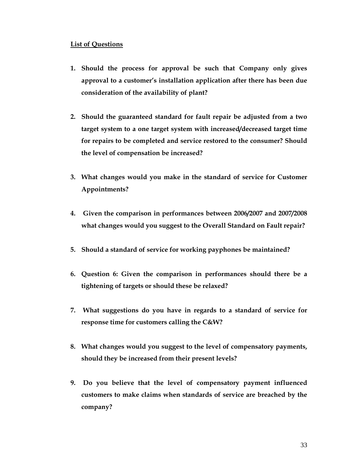#### **List of Questions**

- **1. Should the process for approval be such that Company only gives approval to a customer's installation application after there has been due consideration of the availability of plant?**
- **2. Should the guaranteed standard for fault repair be adjusted from a two target system to a one target system with increased/decreased target time for repairs to be completed and service restored to the consumer? Should the level of compensation be increased?**
- **3. What changes would you make in the standard of service for Customer Appointments?**
- **4. Given the comparison in performances between 2006/2007 and 2007/2008 what changes would you suggest to the Overall Standard on Fault repair?**
- **5. Should a standard of service for working payphones be maintained?**
- **6. Question 6: Given the comparison in performances should there be a tightening of targets or should these be relaxed?**
- **7. What suggestions do you have in regards to a standard of service for response time for customers calling the C&W?**
- **8. What changes would you suggest to the level of compensatory payments, should they be increased from their present levels?**
- **9. Do you believe that the level of compensatory payment influenced customers to make claims when standards of service are breached by the company?**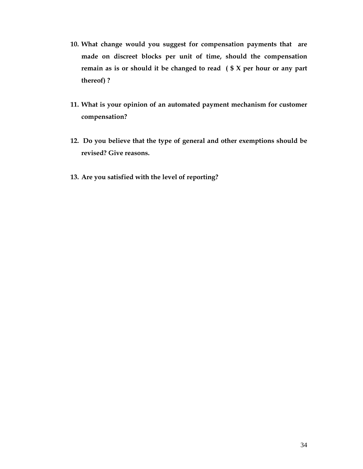- **10. What change would you suggest for compensation payments that are made on discreet blocks per unit of time, should the compensation remain as is or should it be changed to read ( \$ X per hour or any part thereof) ?**
- **11. What is your opinion of an automated payment mechanism for customer compensation?**
- **12. Do you believe that the type of general and other exemptions should be revised? Give reasons.**
- **13. Are you satisfied with the level of reporting?**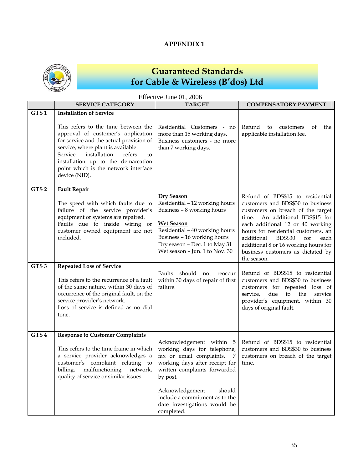### **APPENDIX 1**



## **Guaranteed Standards for Cable & Wireless (B'dos) Ltd**

|                  | Effective June 01, 2006                                                                                                                                                                                                                                                                                                                |                                                                                                                                                                                                                                                                                     |                                                                                                                                                                                                                                                                                                                                                                     |  |  |
|------------------|----------------------------------------------------------------------------------------------------------------------------------------------------------------------------------------------------------------------------------------------------------------------------------------------------------------------------------------|-------------------------------------------------------------------------------------------------------------------------------------------------------------------------------------------------------------------------------------------------------------------------------------|---------------------------------------------------------------------------------------------------------------------------------------------------------------------------------------------------------------------------------------------------------------------------------------------------------------------------------------------------------------------|--|--|
|                  | <b>SERVICE CATEGORY</b>                                                                                                                                                                                                                                                                                                                | <b>TARGET</b>                                                                                                                                                                                                                                                                       | <b>COMPENSATORY PAYMENT</b>                                                                                                                                                                                                                                                                                                                                         |  |  |
| GTS1             | <b>Installation of Service</b><br>This refers to the time between the<br>approval of customer's application<br>for service and the actual provision of<br>service, where plant is available.<br>installation<br>Service<br>refers<br>to<br>installation up to the demarcation<br>point which is the network interface<br>device (NID). | Residential Customers - no<br>more than 15 working days.<br>Business customers - no more<br>than 7 working days.                                                                                                                                                                    | Refund<br>to<br>customers<br>οf<br>the<br>applicable installation fee.                                                                                                                                                                                                                                                                                              |  |  |
| GTS <sub>2</sub> | <b>Fault Repair</b><br>The speed with which faults due to<br>failure of the service provider's<br>equipment or systems are repaired.<br>Faults due to inside wiring or<br>customer owned equipment are not<br>included.                                                                                                                | <b>Dry Season</b><br>Residential - 12 working hours<br>Business - 8 working hours<br><b>Wet Season</b><br>Residential - 40 working hours<br>Business - 16 working hours<br>Dry season - Dec. 1 to May 31<br>Wet season - Jun. 1 to Nov. 30                                          | Refund of BDS\$15 to residential<br>customers and BDS\$30 to business<br>customers on breach of the target<br>time. An additional BDS\$15 for<br>each additional 12 or 40 working<br>hours for residential customers, an<br><b>BDS\$30</b><br>additional<br>for<br>each<br>additional 8 or 16 working hours for<br>business customers as dictated by<br>the season. |  |  |
| GTS <sub>3</sub> | <b>Repeated Loss of Service</b><br>This refers to the recurrence of a fault<br>of the same nature, within 30 days of<br>occurrence of the original fault, on the<br>service provider's network.<br>Loss of service is defined as no dial<br>tone.                                                                                      | should not reoccur<br>Faults<br>within 30 days of repair of first<br>failure.                                                                                                                                                                                                       | Refund of BDS\$15 to residential<br>customers and BDS\$30 to business<br>customers for repeated loss of<br>due<br>to<br>the<br>service<br>service,<br>provider's equipment, within 30<br>days of original fault.                                                                                                                                                    |  |  |
| GTS <sub>4</sub> | <b>Response to Customer Complaints</b><br>This refers to the time frame in which<br>a service provider acknowledges a<br>customer's complaint relating<br>to<br>malfunctioning<br>billing,<br>network,<br>quality of service or similar issues.                                                                                        | Acknowledgement within 5<br>working days for telephone,<br>fax or email complaints.<br>7<br>working days after receipt for<br>written complaints forwarded<br>by post.<br>Acknowledgement<br>should<br>include a commitment as to the<br>date investigations would be<br>completed. | Refund of BDS\$15 to residential<br>customers and BDS\$30 to business<br>customers on breach of the target<br>time.                                                                                                                                                                                                                                                 |  |  |